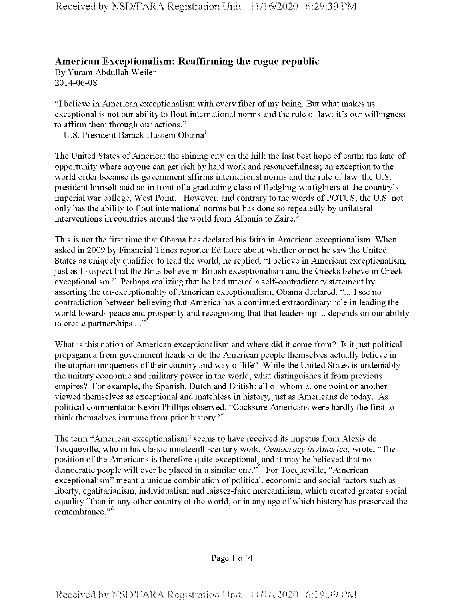## **American Exceptionalism: Reaffirming the rogue republic**

By Yuram Abdullah Weiler 2014-06-08

"I believe in American exceptionalism with every fiber ofmy being. But what makes us exceptional is not our ability to flout international norms and the rule of law; it's our willingness to affirm them through our actions."

—U.S. President Barack Hussein Obama<sup>1</sup>

The United States of America: the shining city on the hill; the last best hope of earth; the land of opportunity where anyone can get rich by hard work and resourcefulness; an exception to the world order because its government affirms international norms and the rule of law-the U.S. president himself said so in front of a graduating class of fledgling warfighters at the country's imperial war college, West Point. However, and contrary to the words of POTUS, the U.S. not only has the ability to flout international norms but has done so repeatedly by unilateral interventions in countries around the world from Albania to Zaire.

This is not the first time that Obama has declared his faith in American exceptionalism. When asked in 2009 by Financial Times reporter Ed Luce about whether or not he saw the United States as uniquely qualified to lead the world, he replied, "I believe in American exceptionalism, just as I suspect that the Brits believe in British exceptionalism and the Greeks believe in Greek exceptionalism." Perhaps realizing that he had uttered a self-contradictory statement by asserting the un-exceptionality of American exceptionalism, Obama declared, "... I see no contradiction between believing that America has a continued extraordinary role in leading the world towards peace and prosperity and recognizing that that leadership ... depends on our ability to create partnerships  $\cdots$ <sup>33</sup>

What is this notion of American exceptionalism and where did it come from? Is it just political propaganda from government heads or do the American people themselves actually believe in the utopian uniqueness of their country and way of life? While the United States is undeniably the unitary economic and military power in the world, what distinguishes it from previous empires? For example, the Spanish, Dutch and British: all ofwhom at one point or another viewed themselves as exceptional and matchless in history, just as Americans do today. As political commentator Kevin Phillips observed, "Cocksure Americans were hardly the first to think themselves immune from prior history."<sup>4</sup>

The term "American exceptionalism" seems to have received its impetus from Alexis de Tocqueville, who in his classic nineteenth-century work, *Democracy in America*, wrote, "The position of the Americans is therefore quite exceptional, and it may be believed that no democratic people will ever be placed in a similar one.<sup> $\frac{1}{2}$ </sup> For Tocqueville, "American exceptionalism" meant a unique combination of political, economic and social factors such as liberty, egalitarianism, individualism and laissez-faire mercantilism, which created greater social equality "than in any other country of the world, or in any age of which history has preserved the remembrance."<sup>6</sup>

Page <sup>1</sup> of 4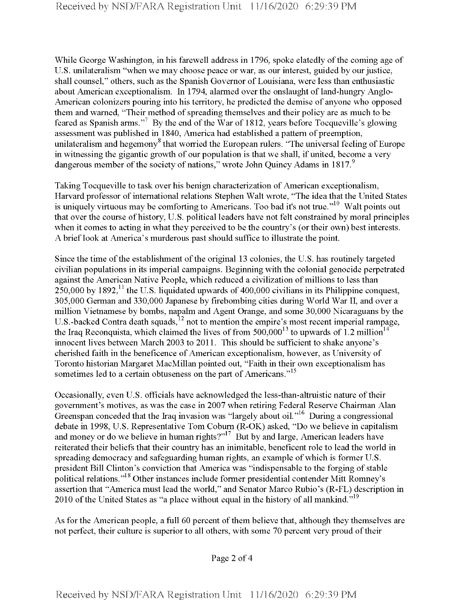While George Washington, in his farewell address in 1796, spoke elatedly of the coming age of U.S. unilateralism "when we may choose peace or war, as our interest, guided by our justice, shall counsel," others, such as the Spanish Governor of Louisiana, were less than enthusiastic about American exceptionalism. In 1794, alarmed over the onslaught of land-hungry Anglo-American colonizers pouring into his territory, he predicted the demise of anyone who opposed them and warned, "Their method of spreading themselves and their policy are as much to be feared as Spanish arms."<sup>7</sup> By the end of the War of 1812, years before Tocqueville's glowing assessment was published in 1840, America had established a pattern of preemption, unilateralism and hegemony<sup>8</sup> that worried the European rulers. "The universal feeling of Europe in witnessing the gigantic growth of our population is that we shall, if united, become a very dangerous member of the society of nations," wrote John Quincy Adams in  $1817$ .

Taking Tocqueville to task over his benign characterization of American exceptionalism, Harvard professor of international relations Stephen Walt wrote, "The idea that the United States is uniquely virtuous may be comforting to Americans. Too bad it's not true."<sup>10</sup> Walt points out that over the course of history, U.S. political leaders have not felt constrained by moral principles when it comes to acting in what they perceived to be the country's (or their own) best interests. A brieflook at America's murderous past should suffice to illustrate the point.

Since the time of the establishment of the original 13 colonies, the U.S. has routinely targeted civilian populations in its imperial campaigns. Beginning with the colonial genocide perpetrated against the American Native People, which reduced a civilization of millions to less than  $250,000$  by 1892,<sup>11</sup> the U.S. liquidated upwards of 400,000 civilians in its Philippine conquest, 305.000 German and 330,000 Japanese by firebombing cities during World War II, and over a million Vietnamese by bombs, napalm and Agent Orange, and some 30,000 Nicaraguans by the U.S.-backed Contra death squads, <sup>12</sup> not to mention the empire's most recent imperial rampage, the Iraq Reconquista, which claimed the lives of from  $500,000^{13}$  to upwards of 1.2 million<sup>14</sup> innocent lives between March 2003 to 2011. This should be sufficient to shake anyone's cherished faith in the beneficence of American exceptionalism, however, as University of Toronto historian Margaret MacMillan pointed out, "Faith in their own exceptionalism has sometimes led to a certain obtuseness on the part of Americans."<sup>15</sup>

Occasionally, even U.S. officials have acknowledged the less-than-altruistic nature oftheir government's motives, as was the case in 2007 when retiring Federal Reserve Chairman Alan Greenspan conceded that the Iraq invasion was "largely about oil."<sup>16</sup> During a congressional debate in 1998, U.S. Representative Tom Cobum (R-OK) asked, "Do we believe in capitalism and money or do we believe in human rights?"<sup>17</sup> But by and large, American leaders have reiterated their beliefs that their country has an inimitable, beneficent role to lead the world in spreading democracy and safeguarding human rights, an example of which is former U.S. president Bill Clinton's conviction that America was "indispensable to the forging of stable political relations."<sup>18</sup> Other instances include former presidential contender Mitt Romney's assertion that "America must lead the world," and Senator Marco Rubio's (R-FL) description in 2010 of the United States as "a place without equal in the history of all mankind."<sup>19</sup>

As for the American people, a full 60 percent of them believe that, although they themselves are not perfect, their culture is superior to all others, with some 70 percent very proud oftheir

Page 2 of 4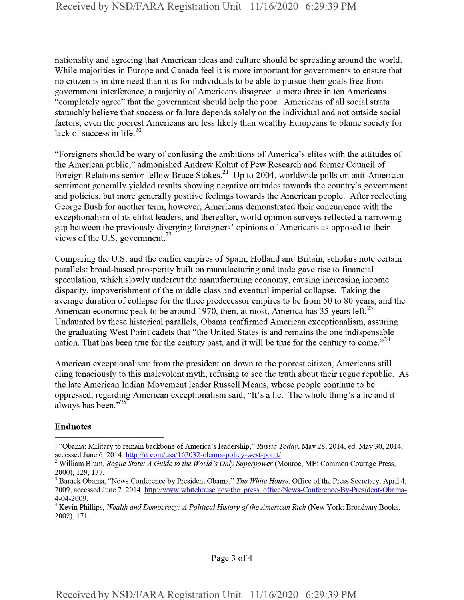nationality and agreeing that American ideas and culture should be spreading around the world. While majorities in Europe and Canada feel it is more important for governments to ensure that no citizen is in dire need than it is for individuals to be able to pursue their goals free from government interference, a majority of Americans disagree: a mere three in ten Americans "completely agree" that the government should help the poor. Americans of all social strata staunchly believe that success or failure depends solely on the individual and not outside social factors; even the poorest Americans are less likely than wealthy Europeans to blame society for lack of success in life.<sup>20</sup>

"Foreigners should be wary of confusing the ambitions of America's elites with the attitudes of the American public," admonished Andrew Kohut of Pew Research and former Council of Foreign Relations senior fellow Bruce Stokes.<sup>21</sup> Up to 2004, worldwide polls on anti-American sentiment generally yielded results showing negative attitudes towards the country's government and policies, but more generally positive feelings towards the American people. After reelecting George Bush for another term, however, Americans demonstrated their concurrence with the exceptionalism of its elitist leaders, and thereafter, world opinion surveys reflected a narrowing gap between the previously diverging foreigners' opinions of Americans as opposed to their views of the U.S. government. $^{22}$ 

Comparing the U.S. and the earlier empires of Spain, Holland and Britain, scholars note certain parallels: broad-based prosperity built on manufacturing and trade gave rise to financial speculation, which slowly undercut the manufacturing economy, causing increasing income disparity, impoverishment of the middle class and eventual imperial collapse. Taking the average duration of collapse for the three predecessor empires to be from 50 to 80 years, and the American economic peak to be around 1970, then, at most, America has 35 years left.<sup>23</sup> Undaunted by these historical parallels, Obama reaffirmed American exceptionalism, assuring the graduating West Point cadets that "the United States is and remains the one indispensable nation. That has been true for the century past, and it will be true for the century to come."<sup>24</sup>

American exceptionalism: from the president on down to the poorest citizen, Americans still cling tenaciously to this malevolent myth, refusing to see the truth about their rogue republic. As the late American Indian Movement leader Russell Means, whose people continue to be oppressed, regarding American exceptionalism said, "It's a lie. The whole thing's a lie and it always has been."25

## Endnotes

<sup>&</sup>lt;sup>1</sup> "Obama: Military to remain backbone of America's leadership," Russia Today, May 28, 2014, ed. May 30, 2014, accessed June 6, 2014, http://rt.com/usa/162032-obama-policv-west-point/'.

<sup>&</sup>lt;sup>2</sup> William Blum, *Rogue State: A Guide to the World's Only Superpower* (Monroe, ME: Common Courage Press, 2000), 129, 137.

<sup>3</sup> Barack Obama, "News Conference by President Obama," *The White House*, Office ofthe Press Secretary, April 4, 2009, accessed June 7, 2014, http://www.whitehouse.gov/the press office/News-Conference-By-President-Obama-4-04-2009.

<sup>4</sup> Kevin Phillips, *Wealth and Democracy: A Political History ofthe American Rich* (New York: Broadway Books, 2002), 171.